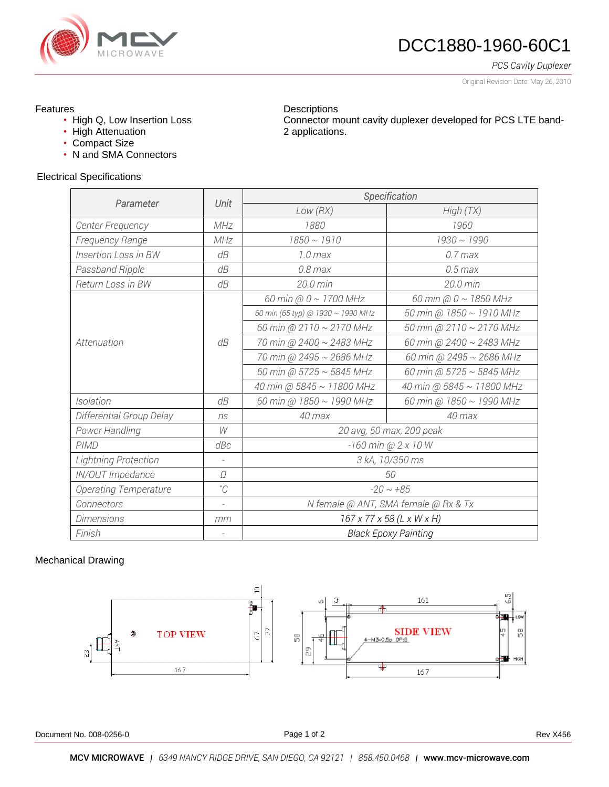

# DCC1880-1960-60C1

*PCS Cavity Duplexer*

Original Revision Date: May 26, 2010

### Features

- High Q, Low Insertion Loss
- High Attenuation
- Compact Size
- N and SMA Connectors

#### **Descriptions** Connector mount cavity duplexer developed for PCS LTE band-2 applications.

### Electrical Specifications

| Parameter                   | Unit           | Specification                         |                           |
|-----------------------------|----------------|---------------------------------------|---------------------------|
|                             |                | Low(RX)                               | High(TX)                  |
| Center Frequency            | MHz            | 1880                                  | 1960                      |
| Frequency Range             | MHz            | $1850 \sim 1910$                      | $1930 \sim 1990$          |
| <b>Insertion Loss in BW</b> | dB             | 1.0 <sub>max</sub>                    | $0.7$ max                 |
| Passband Ripple             | dB             | $0.8$ max                             | $0.5$ max                 |
| Return Loss in BW           | dB             | 20.0 min                              | 20.0 min                  |
| Attenuation                 | dB             | 60 min @ $0 \sim 1700$ MHz            | 60 min @ 0 ~ 1850 MHz     |
|                             |                | 60 min (65 typ) @ 1930 ~ 1990 MHz     | 50 min @ 1850 ~ 1910 MHz  |
|                             |                | 60 min @ 2110 $\sim$ 2170 MHz         | 50 min @ 2110 ~ 2170 MHz  |
|                             |                | 70 min @ 2400 ~ 2483 MHz              | 60 min @ 2400 ~ 2483 MHz  |
|                             |                | 70 min @ 2495 ~ 2686 MHz              | 60 min @ 2495 ~ 2686 MHz  |
|                             |                | 60 min @ 5725 $\sim$ 5845 MHz         | 60 min @ 5725 ~ 5845 MHz  |
|                             |                | 40 min @ 5845 ~ 11800 MHz             | 40 min @ 5845 ~ 11800 MHz |
| Isolation                   | dB             | 60 min @ 1850 ~ 1990 MHz              | 60 min @ 1850 ~ 1990 MHz  |
| Differential Group Delay    | ns             | $40$ max                              | $40$ max                  |
| Power Handling              | W              | 20 avg, 50 max, 200 peak              |                           |
| <b>PIMD</b>                 | dBc            | -160 min @ 2 x 10 W                   |                           |
| <b>Lightning Protection</b> |                | 3 kA, 10/350 ms                       |                           |
| IN/OUT Impedance            | Ω              | 50                                    |                           |
| Operating Temperature       | $^{\circ}C$    | $-20 \sim +85$                        |                           |
| Connectors                  | $\overline{a}$ | N female @ ANT, SMA female @ Rx & Tx  |                           |
| <b>Dimensions</b>           | mm             | $167 \times 77 \times 58$ (L x W x H) |                           |
| Finish                      |                | <b>Black Epoxy Painting</b>           |                           |

## Mechanical Drawing



Document No. 008-0256-0 **Rev X456** Rev X456

Page 1 of 2